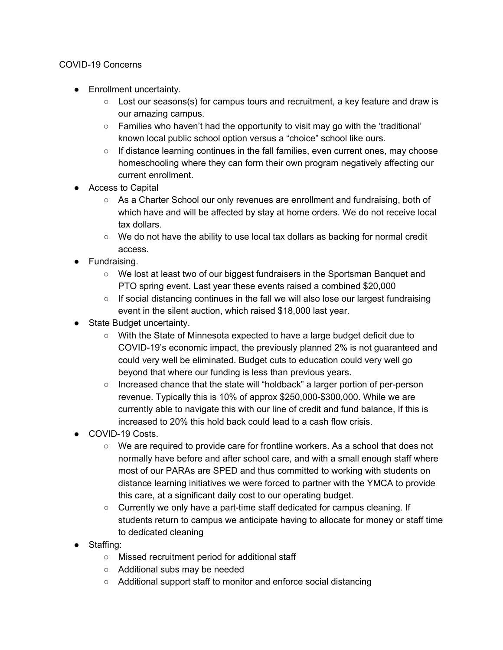## COVID-19 Concerns

- Enrollment uncertainty.
	- $\circ$  Lost our seasons(s) for campus tours and recruitment, a key feature and draw is our amazing campus.
	- Families who haven't had the opportunity to visit may go with the 'traditional' known local public school option versus a "choice" school like ours.
	- $\circ$  If distance learning continues in the fall families, even current ones, may choose homeschooling where they can form their own program negatively affecting our current enrollment.
- Access to Capital
	- As a Charter School our only revenues are enrollment and fundraising, both of which have and will be affected by stay at home orders. We do not receive local tax dollars.
	- $\circ$  We do not have the ability to use local tax dollars as backing for normal credit access.
- Fundraising.
	- We lost at least two of our biggest fundraisers in the Sportsman Banquet and PTO spring event. Last year these events raised a combined \$20,000
	- $\circ$  If social distancing continues in the fall we will also lose our largest fundraising event in the silent auction, which raised \$18,000 last year.
- State Budget uncertainty.
	- With the State of Minnesota expected to have a large budget deficit due to COVID-19's economic impact, the previously planned 2% is not guaranteed and could very well be eliminated. Budget cuts to education could very well go beyond that where our funding is less than previous years.
	- Increased chance that the state will "holdback" a larger portion of per-person revenue. Typically this is 10% of approx \$250,000-\$300,000. While we are currently able to navigate this with our line of credit and fund balance, If this is increased to 20% this hold back could lead to a cash flow crisis.
- COVID-19 Costs.
	- We are required to provide care for frontline workers. As a school that does not normally have before and after school care, and with a small enough staff where most of our PARAs are SPED and thus committed to working with students on distance learning initiatives we were forced to partner with the YMCA to provide this care, at a significant daily cost to our operating budget.
	- Currently we only have a part-time staff dedicated for campus cleaning. If students return to campus we anticipate having to allocate for money or staff time to dedicated cleaning
- Staffing:
	- Missed recruitment period for additional staff
	- Additional subs may be needed
	- Additional support staff to monitor and enforce social distancing